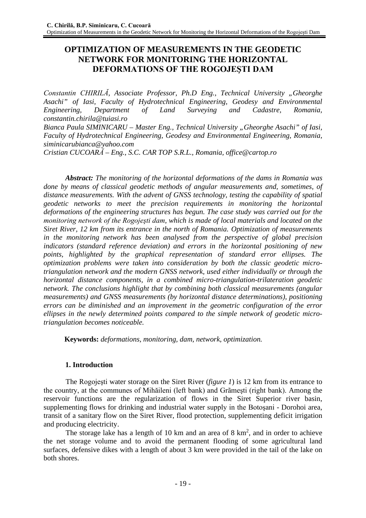# **OPTIMIZATION OF MEASUREMENTS IN THE GEODETIC NETWORK FOR MONITORING THE HORIZONTAL DEFORMATIONS OF THE ROGOJEŞTI DAM**

*Constantin CHIRILĂ, Associate Professor, Ph.D Eng., Technical University "Gheorghe Asachi" of Iasi, Faculty of Hydrotechnical Engineering, Geodesy and Environmental Engineering, Department of Land Surveying and Cadastre, Romania, [constantin.chirila@tuiasi.ro](mailto:constantin.chirila@tuiasi.ro)*

*Bianca Paula SIMINICARU – Master Eng., Technical University "Gheorghe Asachi" of Iasi, Faculty of Hydrotechnical Engineering, Geodesy and Environmental Engineering, Romania, [siminicarubianca@yahoo.com](mailto:siminicarubianca@yahoo.com)*

*Cristian CUCOARĂ – Eng., S.C. CAR TOP S.R.L., Romania, [office@cartop.ro](mailto:office@cartop.ro)*

*Abstract: The monitoring of the horizontal deformations of the dams in Romania was done by means of classical geodetic methods of angular measurements and, sometimes, of distance measurements. With the advent of GNSS technology, testing the capability of spatial geodetic networks to meet the precision requirements in monitoring the horizontal deformations of the engineering structures has begun. The case study was carried out for the monitoring network of the Rogojeşti dam, which is made of local materials and located on the Siret River, 12 km from its entrance in the north of Romania. Optimization of measurements in the monitoring network has been analysed from the perspective of global precision indicators (standard reference deviation) and errors in the horizontal positioning of new points, highlighted by the graphical representation of standard error ellipses. The optimization problems were taken into consideration by both the classic geodetic microtriangulation network and the modern GNSS network, used either individually or through the horizontal distance components, in a combined micro-triangulation-trilateration geodetic network. The conclusions highlight that by combining both classical measurements (angular measurements) and GNSS measurements (by horizontal distance determinations), positioning errors can be diminished and an improvement in the geometric configuration of the error ellipses in the newly determined points compared to the simple network of geodetic microtriangulation becomes noticeable.*

**Keywords:** *deformations, monitoring, dam, network, optimization.*

# **1. Introduction**

The Rogojeşti water storage on the Siret River (*figure 1*) is 12 km from its entrance to the country, at the communes of Mihăileni (left bank) and Grãmeşti (right bank). Among the reservoir functions are the regularization of flows in the Siret Superior river basin, supplementing flows for drinking and industrial water supply in the Botoşani - Dorohoi area, transit of a sanitary flow on the Siret River, flood protection, supplementing deficit irrigation and producing electricity.

The storage lake has a length of 10 km and an area of  $8 \text{ km}^2$ , and in order to achieve the net storage volume and to avoid the permanent flooding of some agricultural land surfaces, defensive dikes with a length of about 3 km were provided in the tail of the lake on both shores.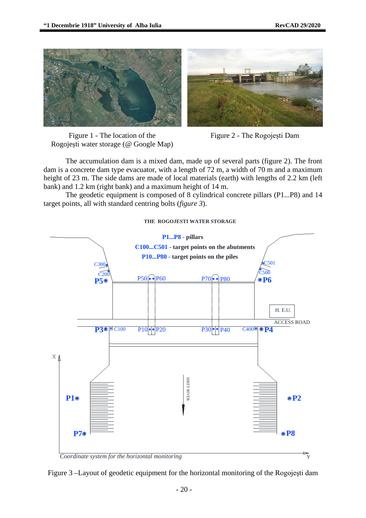



Figure 1 - The location of the Rogojești water storage (@ Google Map)



The accumulation dam is a mixed dam, made up of several parts (figure 2). The front dam is a concrete dam type evacuator, with a length of 72 m, a width of 70 m and a maximum height of 23 m. The side dams are made of local materials (earth) with lengths of 2.2 km (left bank) and 1.2 km (right bank) and a maximum height of 14 m.

The geodetic equipment is composed of 8 cylindrical concrete pillars (P1...P8) and 14 target points, all with standard centring bolts (*figure 3*).

#### **THE ROGOJESTI WATER STORAGE**



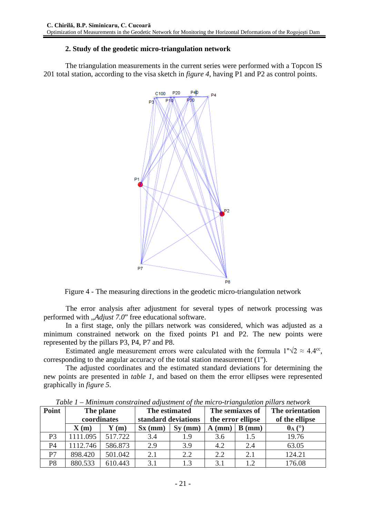# **2. Study of the geodetic micro-triangulation network**

The triangulation measurements in the current series were performed with a Topcon IS 201 total station, according to the visa sketch in *figure 4*, having P1 and P2 as control points.



Figure 4 - The measuring directions in the geodetic micro-triangulation network

The error analysis after adjustment for several types of network processing was performed with ,,*Adjust 7.0*" free educational software.

In a first stage, only the pillars network was considered, which was adjusted as a minimum constrained network on the fixed points P1 and P2. The new points were represented by the pillars P3, P4, P7 and P8.

Estimated angle measurement errors were calculated with the formula  $1''\sqrt{2} \approx 4.4$ <sup>cc</sup>, corresponding to the angular accuracy of the total station measurement (1'').

The adjusted coordinates and the estimated standard deviations for determining the new points are presented in *table 1*, and based on them the error ellipses were represented graphically in *figure 5*.

| Point          | The plane<br>coordinates |                          | The estimated<br>standard deviations |           | The semiaxes of<br>the error ellipse |           | The orientation<br>of the ellipse |
|----------------|--------------------------|--------------------------|--------------------------------------|-----------|--------------------------------------|-----------|-----------------------------------|
|                | $\mathbf{X}(\mathbf{m})$ | $\mathbf{Y}(\mathbf{m})$ | $Sx$ (mm)                            | $Sy$ (mm) | $A$ (mm)                             | (mm)<br>B | $\theta_A$ (°)                    |
| P <sub>3</sub> | 1111.095                 | 517.722                  | 3.4                                  | 1.9       | 3.6                                  | 1.5       | 19.76                             |
| P <sub>4</sub> | 1112.746                 | 586.873                  | 2.9                                  | 3.9       | 4.2                                  | 2.4       | 63.05                             |
| P7             | 898.420                  | 501.042                  | 2.1                                  | 2.2       | 2.2                                  | 2.1       | 124.21                            |
| P <sub>8</sub> | 880.533                  | 610.443                  | 3.1                                  | 1.3       | 3.1                                  | 1.2       | 176.08                            |

*Table 1 – Minimum constrained adjustment of the micro-triangulation pillars network*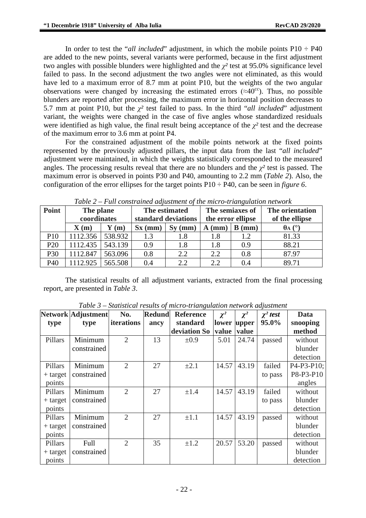In order to test the "*all included*" adjustment, in which the mobile points  $P10 \div P40$ are added to the new points, several variants were performed, because in the first adjustment two angles with possible blunders were highlighted and the  $\chi^2$  test at 95.0% significance level failed to pass. In the second adjustment the two angles were not eliminated, as this would have led to a maximum error of 8.7 mm at point P10, but the weights of the two angular observations were changed by increasing the estimated errors ( $\approx 40^{\circ}$ ). Thus, no possible blunders are reported after processing, the maximum error in horizontal position decreases to 5.7 mm at point P10, but the *χ²* test failed to pass. In the third "*all included*" adjustment variant, the weights were changed in the case of five angles whose standardized residuals were identified as high value, the final result being acceptance of the  $\chi^2$  test and the decrease of the maximum error to 3.6 mm at point P4.

For the constrained adjustment of the mobile points network at the fixed points represented by the previously adjusted pillars, the input data from the last "*all included*" adjustment were maintained, in which the weights statistically corresponded to the measured angles. The processing results reveal that there are no blunders and the  $\chi^2$  test is passed. The maximum error is observed in points P30 and P40, amounting to 2.2 mm (*Table 2*). Also, the configuration of the error ellipses for the target points P10 ÷ P40, can be seen in *figure 6*.

| Point           | The plane                |         | The estimated       |           | The semiaxes of   |          | The orientation                  |
|-----------------|--------------------------|---------|---------------------|-----------|-------------------|----------|----------------------------------|
|                 | coordinates              |         | standard deviations |           | the error ellipse |          | of the ellipse                   |
|                 | $\mathbf{X}(\mathbf{m})$ | (m)     | $Sx$ (mm)           | $Sv$ (mm) | $A$ (mm)          | $B$ (mm) | $\theta$ <sub>A</sub> $(^\circ)$ |
| P10             | 1112.356                 | 538.932 | 1.3                 | 1.8       | 1.8               | 1.2      | 81.33                            |
| P <sub>20</sub> | 1112.435                 | 543.139 | 0.9                 | 1.8       | 1.8               | 0.9      | 88.21                            |
| P30             | 1112.847                 | 563.096 | 0.8                 | 2.2       | 2.2               | 0.8      | 87.97                            |
| P40             | 1112.925                 | 565.508 | 0.4                 | 2.2       | 2.2               | 0.4      | 89.71                            |

*Table 2 – Full constrained adjustment of the micro-triangulation network*

The statistical results of all adjustment variants, extracted from the final processing report, are presented in *Table 3*.

|            | Network Adjustment | No.            | <b>Redund</b> | <b>Reference</b> | $\chi^2$ | $\chi^2$ | $\chi^2$ test | Data                                              |
|------------|--------------------|----------------|---------------|------------------|----------|----------|---------------|---------------------------------------------------|
| type       | type               | iterations     | ancy          | standard         | lower    | upper    | 95.0%         | snooping                                          |
|            |                    |                |               | deviation So     | value    | value    |               | method                                            |
| Pillars    | Minimum            | 2              | 13            | $\pm 0.9$        | 5.01     | 24.74    | passed        | without                                           |
|            | constrained        |                |               |                  |          |          |               | blunder                                           |
|            |                    |                |               |                  |          |          |               | detection                                         |
| Pillars    | Minimum            | $\overline{2}$ | 27            | $\pm 2.1$        | 14.57    | 43.19    | failed        | P <sub>4</sub> -P <sub>3</sub> -P <sub>10</sub> ; |
| $+$ target | constrained        |                |               |                  |          |          | to pass       | P8-P3-P10                                         |
| points     |                    |                |               |                  |          |          |               | angles                                            |
| Pillars    | Minimum            | $\overline{2}$ | 27            | $\pm 1.4$        | 14.57    | 43.19    | failed        | without                                           |
| $+$ target | constrained        |                |               |                  |          |          | to pass       | blunder                                           |
| points     |                    |                |               |                  |          |          |               | detection                                         |
| Pillars    | Minimum            | $\overline{2}$ | 27            | $\pm 1.1$        | 14.57    | 43.19    | passed        | without                                           |
| $+$ target | constrained        |                |               |                  |          |          |               | blunder                                           |
| points     |                    |                |               |                  |          |          |               | detection                                         |
| Pillars    | Full               | 2              | 35            | $\pm 1.2$        | 20.57    | 53.20    | passed        | without                                           |
| $+$ target | constrained        |                |               |                  |          |          |               | blunder                                           |
| points     |                    |                |               |                  |          |          |               | detection                                         |

*Table 3 – Statistical results of micro-triangulation network adjustment*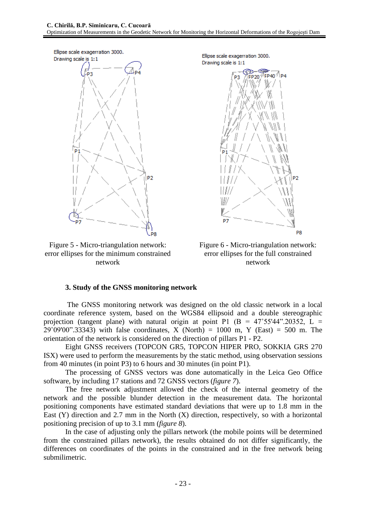

Figure 5 - Micro-triangulation network: error ellipses for the minimum constrained network

Ellipse scale exagerration 3000. Drawing scale is 1:1



Figure 6 - Micro-triangulation network: error ellipses for the full constrained network

### **3. Study of the GNSS monitoring network**

The GNSS monitoring network was designed on the old classic network in a local coordinate reference system, based on the WGS84 ellipsoid and a double stereographic projection (tangent plane) with natural origin at point P1 (B =  $47^{\circ}55'44''$ .20352, L =  $29°09'00"$ .33343) with false coordinates, X (North) = 1000 m, Y (East) = 500 m. The orientation of the network is considered on the direction of pillars P1 - P2.

Eight GNSS receivers (TOPCON GR5, TOPCON HIPER PRO, SOKKIA GRS 270 ISX) were used to perform the measurements by the static method, using observation sessions from 40 minutes (in point P3) to 6 hours and 30 minutes (in point P1).

The processing of GNSS vectors was done automatically in the Leica Geo Office software, by including 17 stations and 72 GNSS vectors (*figure 7*).

The free network adjustment allowed the check of the internal geometry of the network and the possible blunder detection in the measurement data. The horizontal positioning components have estimated standard deviations that were up to 1.8 mm in the East (Y) direction and 2.7 mm in the North (X) direction, respectively, so with a horizontal positioning precision of up to 3.1 mm (*figure 8*).

In the case of adjusting only the pillars network (the mobile points will be determined from the constrained pillars network), the results obtained do not differ significantly, the differences on coordinates of the points in the constrained and in the free network being submilimetric.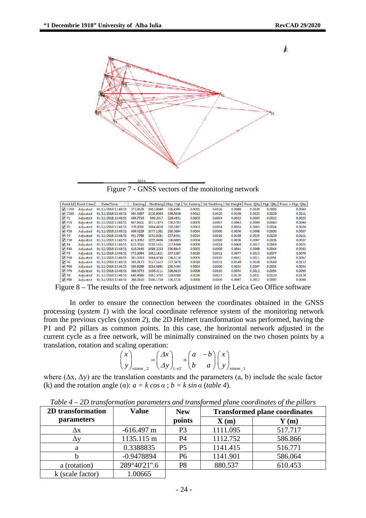Λ



Figure 7 - GNSS vectors of the monitoring network

| Point Id                 | Point Class | Date/Time           | Easting  | Northing  | Ellip. Hgt. |        | Sd. Easting   Sd. Northing |        | Sd. Height   Posn. Qlty | Hat. Olty | Posn. + Hgt. Olty |
|--------------------------|-------------|---------------------|----------|-----------|-------------|--------|----------------------------|--------|-------------------------|-----------|-------------------|
| $\Box$ C <sub>200</sub>  | Adjusted    | 01/12/2018 13:48:51 | 373.9528 | 1063.8049 | 336.4591    | 0.0011 | 0.0026                     | 0.0088 | 0.0028                  | 0.0088    | 0.0092            |
| $\Box$ C500              | Adiusted    | 01/12/2018 13:48:51 | 394.0497 | 1126.8004 | 336.5059    | 0.0012 | 0.0020                     | 0.0109 | 0.0023                  | 0.0109    | 0.0111            |
| $\nabla P1$              | Adiusted    | 01/12/2018 13:48:51 | 499.7716 | 999.2017  | 329.4851    | 0.0003 | 0.0004                     | 0.0022 | 0.0005                  | 0.0022    | 0.0023            |
| $\nabla$ P <sub>10</sub> | Adiusted    | 01/12/2018 13:48:51 | 407.6921 | 1073.1875 | 336.5703    | 0.0005 | 0.0007                     | 0.0043 | 0.0009                  | 0.0043    | 0.0044            |
| $\n  D P2$               | Adiusted    | 01/12/2018 13:48:51 | 570.0051 | 1084.4850 | 330.1887    | 0.0003 | 0.0004                     | 0.0024 | 0.0005                  | 0.0024    | 0.0024            |
| $\n  20\n$               | Adiusted    | 01/12/2018 13:48:51 | 409.0229 | 1077.1361 | 336.5694    | 0.0004 | 0.0006                     | 0.0036 | 0.0008                  | 0.0036    | 0.0037            |
| $\Box$ P3                | Adiusted    | 01/12/2018 13:48:51 | 401.7768 | 1052.9281 | 337.8401    | 0.0014 | 0.0019                     | 0.0109 | 0.0024                  | 0.0109    | 0.0111            |
| $\n  2 P30\n$            | Adjusted    | 01/12/2018 13:48:51 | 415.3052 | 1095.9496 | 336.6085    | 0.0004 | 0.0006                     | 0.0036 | 0.0007                  | 0.0036    | 0.0037            |
| $\nabla$ P4              | Adjusted    | 01/12/2018 13:48:51 | 423.3516 | 1118.1651 | 337.9309    | 0.0009 | 0.0014                     | 0.0069 | 0.0017                  | 0.0069    | 0.0071            |
| $\nabla$ P40             | Adjusted    | 01/12/2018 13:48:51 | 416.0446 | 1098.2233 | 336.6045    | 0.0005 | 0.0008                     | 0.0044 | 0.0009                  | 0.0044    | 0.0045            |
| $\nabla$ P5              | Adjusted    | 01/12/2018 13:48:51 | 373.0984 | 1062.1821 | 337.5367    | 0.0010 | 0.0011                     | 0.0077 | 0.0015                  | 0.0077    | 0.0078            |
| $\nabla$ P50             | Adjusted    | 01/12/2018 13:48:51 | 381.0393 | 1084.4748 | 336.5118    | 0.0005 | 0.0010                     | 0.0051 | 0.0011                  | 0.0051    | 0.0052            |
| $\nabla P6$              | Adiusted    | 01/12/2018 13:48:51 | 395.8173 | 1127.1622 | 337.5870    | 0.0018 | 0.0021                     | 0.0149 | 0.0028                  | 0.0149    | 0.0152            |
| $\nabla$ P60             | Adiusted    | 01/12/2018 13:48:51 | 380.9289 | 1084.0991 | 336.5493    | 0.0004 | 0.0006                     | 0.0034 | 0.0007                  | 0.0034    | 0.0034            |
| $\nabla$ P70             | Adiusted    | 01/12/2018 13:48:51 | 388.0773 | 1106.3111 | 336.5633    | 0.0006 | 0.0010                     | 0.0054 | 0.0012                  | 0.0054    | 0.0055            |
| $\nabla$ P8              | Adiusted    | 01/12/2018 13:48:51 | 648.4566 | 1062.5702 | 329.9280    | 0.0016 | 0.0027                     | 0.0120 | 0.0031                  | 0.0120    | 0.0124            |
| $\n  P80\n$              | Adiusted    | 01/12/2018 13:48:51 | 388,0160 | 1106.1750 | 336.5724    | 0.0008 | 0.0009                     | 0.0097 | 0.0012                  | 0.0097    | 0.0098            |

Figure 8 – The results of the free network adjustment in the Leica Geo Office software

In order to ensure the connection between the coordinates obtained in the GNSS processing (*system 1*) with the local coordinate reference system of the monitoring network from the previous cycles (*system 2*), the 2D Helmert transformation was performed, having the P1 and P2 pillars as common points. In this case, the horizontal network adjusted in the current cycle as a free network, will be minimally constrained on the two chosen points by a translation, rotation and scaling operation:

$$
\begin{pmatrix} x \\ y \end{pmatrix}_{\text{sistem}\_2} = \begin{pmatrix} \Delta x \\ \Delta y \end{pmatrix}_{1\to 2} + \begin{pmatrix} a & -b \\ b & a \end{pmatrix} \begin{pmatrix} x \\ y \end{pmatrix}_{\text{sistem}\_1}
$$

where  $(\Delta x, \Delta y)$  are the translation constants and the parameters  $(a, b)$  include the scale factor (k) and the rotation angle ( $\alpha$ ):  $a = k \cos \alpha$ ;  $b = k \sin \alpha$  (*table* 4).

*Table 4 – 2D transformation parameters and transformed plane coordinates of the pillars*

| 2D transformation | <b>Value</b> | <b>New</b>     | <b>Transformed plane coordinates</b> |         |  |  |
|-------------------|--------------|----------------|--------------------------------------|---------|--|--|
| parameters        |              | points         | $\mathbf{X}(\mathbf{m})$             | Y(m)    |  |  |
| $\Delta$ x        | $-616.497$ m | P3             | 1111.095                             | 517.717 |  |  |
|                   | 1135.115 m   | P4             | 1112.752                             | 586.866 |  |  |
| а                 | 0.3388835    | P <sub>5</sub> | 1141.415                             | 516.771 |  |  |
|                   | $-0.9478894$ | P <sub>6</sub> | 1141.901                             | 586.064 |  |  |
| a (rotation)      | 289°40'21".6 | P <sub>8</sub> | 880.537                              | 610.453 |  |  |
| k (scale factor)  | 1.00665      |                |                                      |         |  |  |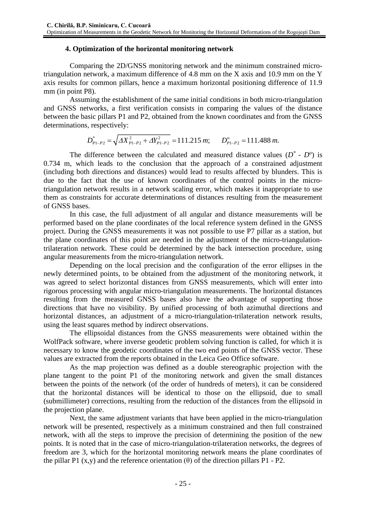# **4. Optimization of the horizontal monitoring network**

Comparing the 2D/GNSS monitoring network and the minimum constrained microtriangulation network, a maximum difference of 4.8 mm on the X axis and 10.9 mm on the Y axis results for common pillars, hence a maximum horizontal positioning difference of 11.9 mm (in point P8).

Assuming the establishment of the same initial conditions in both micro-triangulation and GNSS networks, a first verification consists in comparing the values of the distance between the basic pillars P1 and P2, obtained from the known coordinates and from the GNSS determinations, respectively:

$$
D_{p_{1-p_{2}}}^{*} = \sqrt{\Delta X_{p_{1-p_{2}}}^{2} + \Delta Y_{p_{1-p_{2}}}^{2}} = 111.215 \, m; \qquad D_{p_{1-p_{2}}}^{o} = 111.488 \, m.
$$

The difference between the calculated and measured distance values  $(D^* \cdot D^o)$  is 0.734 m, which leads to the conclusion that the approach of a constrained adjustment (including both directions and distances) would lead to results affected by blunders. This is due to the fact that the use of known coordinates of the control points in the microtriangulation network results in a network scaling error, which makes it inappropriate to use them as constraints for accurate determinations of distances resulting from the measurement of GNSS bases.

In this case, the full adjustment of all angular and distance measurements will be performed based on the plane coordinates of the local reference system defined in the GNSS project. During the GNSS measurements it was not possible to use P7 pillar as a station, but the plane coordinates of this point are needed in the adjustment of the micro-triangulationtrilateration network. These could be determined by the back intersection procedure, using angular measurements from the micro-triangulation network.

Depending on the local precision and the configuration of the error ellipses in the newly determined points, to be obtained from the adjustment of the monitoring network, it was agreed to select horizontal distances from GNSS measurements, which will enter into rigorous processing with angular micro-triangulation measurements. The horizontal distances resulting from the measured GNSS bases also have the advantage of supporting those directions that have no visibility. By unified processing of both azimuthal directions and horizontal distances, an adjustment of a micro-triangulation-trilateration network results, using the least squares method by indirect observations.

The ellipsoidal distances from the GNSS measurements were obtained within the WolfPack software, where inverse geodetic problem solving function is called, for which it is necessary to know the geodetic coordinates of the two end points of the GNSS vector. These values are extracted from the reports obtained in the Leica Geo Office software.

As the map projection was defined as a double stereographic projection with the plane tangent to the point P1 of the monitoring network and given the small distances between the points of the network (of the order of hundreds of meters), it can be considered that the horizontal distances will be identical to those on the ellipsoid, due to small (submillimeter) corrections, resulting from the reduction of the distances from the ellipsoid in the projection plane.

Next, the same adjustment variants that have been applied in the micro-triangulation network will be presented, respectively as a minimum constrained and then full constrained network, with all the steps to improve the precision of determining the position of the new points. It is noted that in the case of micro-triangulation-trilateration networks, the degrees of freedom are 3, which for the horizontal monitoring network means the plane coordinates of the pillar P1 (x,y) and the reference orientation (θ) of the direction pillars P1 - P2.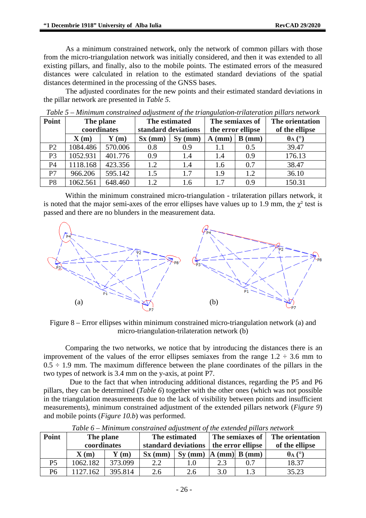As a minimum constrained network, only the network of common pillars with those from the micro-triangulation network was initially considered, and then it was extended to all existing pillars, and finally, also to the mobile points. The estimated errors of the measured distances were calculated in relation to the estimated standard deviations of the spatial distances determined in the processing of the GNSS bases.

The adjusted coordinates for the new points and their estimated standard deviations in the pillar network are presented in *Table 5*.

| <b>Point</b>   | The plane                |         | The estimated       |           | The semiaxes of       |                   | The orientation        |
|----------------|--------------------------|---------|---------------------|-----------|-----------------------|-------------------|------------------------|
|                | coordinates              |         | standard deviations |           |                       | the error ellipse | of the ellipse         |
|                | $\mathbf{X}(\mathbf{m})$ | (m)     | $Sx$ (mm)           | $Sy$ (mm) | в<br>$A$ (mm)<br>(mm) |                   | $\theta$ A ( $\circ$ ) |
| P <sub>2</sub> | 1084.486                 | 570.006 | 0.8                 | 0.9       | 1.1                   | 0.5               | 39.47                  |
| P <sub>3</sub> | 1052.931                 | 401.776 | 0.9                 | 1.4       | 1.4                   | 0.9               | 176.13                 |
| P <sub>4</sub> | 1118.168                 | 423.356 | 1.2                 | 1.4       | 1.6                   | 0.7               | 38.47                  |
| P7             | 966.206                  | 595.142 | 1.5                 | 1.7       | 1.9                   | 1.2               | 36.10                  |
| P8             | 1062.561                 | 648.460 | 1.2                 | 1.6       | 1.7                   | 0.9               | 150.31                 |

*Table 5 – Minimum constrained adjustment of the triangulation-trilateration pillars network*

Within the minimum constrained micro-triangulation - trilateration pillars network, it is noted that the major semi-axes of the error ellipses have values up to 1.9 mm, the  $\chi^2$  test is passed and there are no blunders in the measurement data.



Figure 8 – Error ellipses within minimum constrained micro-triangulation network (a) and micro-triangulation-trilateration network (b)

Comparing the two networks, we notice that by introducing the distances there is an improvement of the values of the error ellipses semiaxes from the range  $1.2 \div 3.6$  mm to  $0.5 \div 1.9$  mm. The maximum difference between the plane coordinates of the pillars in the two types of network is 3.4 mm on the y-axis, at point P7.

Due to the fact that when introducing additional distances, regarding the P5 and P6 pillars, they can be determined (*Table 6*) together with the other ones (which was not possible in the triangulation measurements due to the lack of visibility between points and insufficient measurements), minimum constrained adjustment of the extended pillars network (*Figure 9*) and mobile points (*Figure 10.b*) was performed.

| Point          | The plane                |                          | The estimated       |           |                   | The semiaxes of              | The orientation        |
|----------------|--------------------------|--------------------------|---------------------|-----------|-------------------|------------------------------|------------------------|
|                | coordinates              |                          | standard deviations |           | the error ellipse |                              | of the ellipse         |
|                | $\mathbf{X}(\mathbf{m})$ | $\mathbf{Y}(\mathbf{m})$ | $Sx$ (mm)           | $Sv$ (mm) | $\mathbf{A}$      | $\text{(mm)}\, B\text{(mm)}$ | $\theta$ A ( $\circ$ ) |
| P <sub>5</sub> | 1062.182                 | 373.099                  | 2.2                 | 1.0       | 2.3               | 0.7                          | 18.37                  |
| Р6             | 1127.162                 | 395.814                  | 2.6                 | 2.6       | 3.0               |                              | 35.23                  |

*Table 6 – Minimum constrained adjustment of the extended pillars network*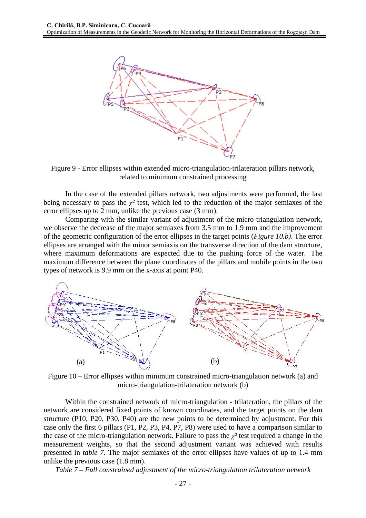

Figure 9 - Error ellipses within extended micro-triangulation-trilateration pillars network, related to minimum constrained processing

In the case of the extended pillars network, two adjustments were performed, the last being necessary to pass the  $\chi^2$  test, which led to the reduction of the major semiaxes of the error ellipses up to 2 mm, unlike the previous case (3 mm).

Comparing with the similar variant of adjustment of the micro-triangulation network, we observe the decrease of the major semiaxes from 3.5 mm to 1.9 mm and the improvement of the geometric configuration of the error ellipses in the target points (*Figure 10.b)*. The error ellipses are arranged with the minor semiaxis on the transverse direction of the dam structure, where maximum deformations are expected due to the pushing force of the water. The maximum difference between the plane coordinates of the pillars and mobile points in the two types of network is 9.9 mm on the x-axis at point P40.



Figure 10 – Error ellipses within minimum constrained micro-triangulation network (a) and micro-triangulation-trilateration network (b)

Within the constrained network of micro-triangulation - trilateration, the pillars of the network are considered fixed points of known coordinates, and the target points on the dam structure (P10, P20, P30, P40) are the new points to be determined by adjustment. For this case only the first 6 pillars (P1, P2, P3, P4, P7, P8) were used to have a comparison similar to the case of the micro-triangulation network. Failure to pass the  $\chi^2$  test required a change in the measurement weights, so that the second adjustment variant was achieved with results presented in *table 7*. The major semiaxes of the error ellipses have values of up to 1.4 mm unlike the previous case (1.8 mm).

*Table 7 – Full constrained adjustment of the micro-triangulation trilateration network*